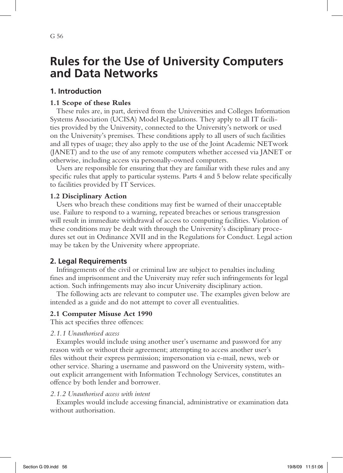# **Rules for the Use of University Computers and Data Networks**

## **1. Introduction**

### **1.1 Scope of these Rules**

These rules are, in part, derived from the Universities and Colleges Information Systems Association (UCISA) Model Regulations. They apply to all IT facilities provided by the University, connected to the University's network or used on the University's premises. These conditions apply to all users of such facilities and all types of usage; they also apply to the use of the Joint Academic NETwork (JANET) and to the use of any remote computers whether accessed via JANET or otherwise, including access via personally-owned computers.

Users are responsible for ensuring that they are familiar with these rules and any specific rules that apply to particular systems. Parts 4 and 5 below relate specifically to facilities provided by IT Services.

### **1.2 Disciplinary Action**

Users who breach these conditions may first be warned of their unacceptable use. Failure to respond to a warning, repeated breaches or serious transgression will result in immediate withdrawal of access to computing facilities. Violation of these conditions may be dealt with through the University's disciplinary procedures set out in Ordinance XVII and in the Regulations for Conduct. Legal action may be taken by the University where appropriate.

### **2. Legal Requirements**

Infringements of the civil or criminal law are subject to penalties including fines and imprisonment and the University may refer such infringements for legal action. Such infringements may also incur University disciplinary action.

The following acts are relevant to computer use. The examples given below are intended as a guide and do not attempt to cover all eventualities.

### **2.1 Computer Misuse Act 1990**

This act specifies three offences:

### *2.1.1 Unauthorised access*

Examples would include using another user's username and password for any reason with or without their agreement; attempting to access another user's files without their express permission; impersonation via e-mail, news, web or other service. Sharing a username and password on the University system, without explicit arrangement with Information Technology Services, constitutes an offence by both lender and borrower.

#### *2.1.2 Unauthorised access with intent*

Examples would include accessing financial, administrative or examination data without authorisation.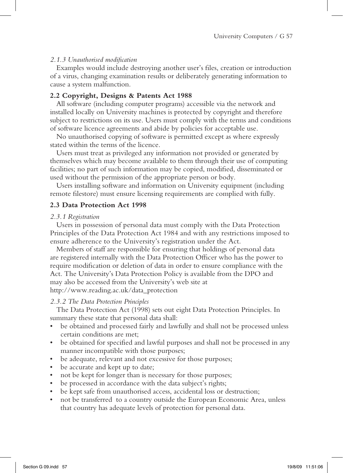#### *2.1.3 Unauthorised modification*

Examples would include destroying another user's files, creation or introduction of a virus, changing examination results or deliberately generating information to cause a system malfunction.

#### **2.2 Copyright, Designs & Patents Act 1988**

All software (including computer programs) accessible via the network and installed locally on University machines is protected by copyright and therefore subject to restrictions on its use. Users must comply with the terms and conditions of software licence agreements and abide by policies for acceptable use.

No unauthorised copying of software is permitted except as where expressly stated within the terms of the licence.

Users must treat as privileged any information not provided or generated by themselves which may become available to them through their use of computing facilities; no part of such information may be copied, modified, disseminated or used without the permission of the appropriate person or body.

Users installing software and information on University equipment (including remote filestore) must ensure licensing requirements are complied with fully.

#### **2.3 Data Protection Act 1998**

#### *2.3.1 Registration*

Users in possession of personal data must comply with the Data Protection Principles of the Data Protection Act 1984 and with any restrictions imposed to ensure adherence to the University's registration under the Act.

Members of staff are responsible for ensuring that holdings of personal data are registered internally with the Data Protection Officer who has the power to require modification or deletion of data in order to ensure compliance with the Act. The University's Data Protection Policy is available from the DPO and may also be accessed from the University's web site at http://www.reading.ac.uk/data\_protection

#### *2.3.2 The Data Protection Principles*

The Data Protection Act (1998) sets out eight Data Protection Principles. In summary these state that personal data shall:

- be obtained and processed fairly and lawfully and shall not be processed unless certain conditions are met;
- be obtained for specified and lawful purposes and shall not be processed in any manner incompatible with those purposes;
- be adequate, relevant and not excessive for those purposes;
- be accurate and kept up to date;
- not be kept for longer than is necessary for those purposes;
- be processed in accordance with the data subject's rights;
- be kept safe from unauthorised access, accidental loss or destruction;
- • not be transferred to a country outside the European Economic Area, unless that country has adequate levels of protection for personal data.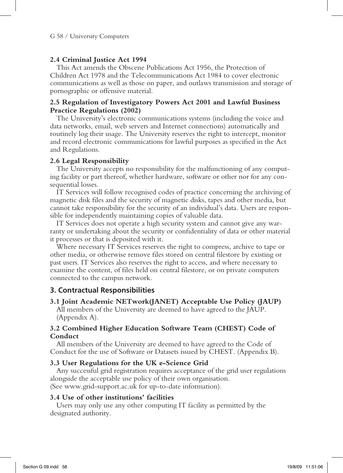#### **2.4 Criminal Justice Act 1994**

This Act amends the Obscene Publications Act 1956, the Protection of Children Act 1978 and the Telecommunications Act 1984 to cover electronic communications as well as those on paper, and outlaws transmission and storage of pornographic or offensive material.

### **2.5 Regulation of Investigatory Powers Act 2001 and Lawful Business Practice Regulations (2002)**

The University's electronic communications systems (including the voice and data networks, email, web servers and Internet connections) automatically and routinely log their usage. The University reserves the right to intercept, monitor and record electronic communications for lawful purposes as specified in the Act and Regulations.

#### **2.6 Legal Responsibility**

The University accepts no responsibility for the malfunctioning of any computing facility or part thereof, whether hardware, software or other nor for any consequential losses.

IT Services will follow recognised codes of practice concerning the archiving of magnetic disk files and the security of magnetic disks, tapes and other media, but cannot take responsibility for the security of an individual's data. Users are responsible for independently maintaining copies of valuable data.

IT Services does not operate a high security system and cannot give any warranty or undertaking about the security or confidentiality of data or other material it processes or that is deposited with it.

Where necessary IT Services reserves the right to compress, archive to tape or other media, or otherwise remove files stored on central filestore by existing or past users. IT Services also reserves the right to access, and where necessary to examine the content, of files held on central filestore, or on private computers connected to the campus network.

### **3. Contractual Responsibilities**

### **3.1 Joint Academic NETwork(JANET) Acceptable Use Policy (JAUP)**

All members of the University are deemed to have agreed to the JAUP. (Appendix A).

### **3.2 Combined Higher Education Software Team (CHEST) Code of Conduct**

All members of the University are deemed to have agreed to the Code of Conduct for the use of Software or Datasets issued by CHEST. (Appendix B).

#### **3.3 User Regulations for the UK e-Science Grid**

Any successful grid registration requires acceptance of the grid user regulations alongside the acceptable use policy of their own organisation. (See www.grid-support.ac.uk for up-to-date information).

### **3.4 Use of other institutions' facilities**

Users may only use any other computing IT facility as permitted by the designated authority.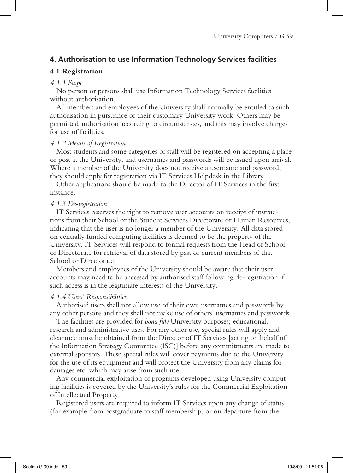### **4. Authorisation to use Information Technology Services facilities**

### **4.1 Registration**

#### *4.1.1 Scope*

No person or persons shall use Information Technology Services facilities without authorisation.

All members and employees of the University shall normally be entitled to such authorisation in pursuance of their customary University work. Others may be permitted authorisation according to circumstances, and this may involve charges for use of facilities.

#### *4.1.2 Means of Registration*

Most students and some categories of staff will be registered on accepting a place or post at the University, and usernames and passwords will be issued upon arrival. Where a member of the University does not receive a username and password, they should apply for registration via IT Services Helpdesk in the Library.

Other applications should be made to the Director of IT Services in the first instance.

#### *4.1.3 De-registration*

IT Services reserves the right to remove user accounts on receipt of instructions from their School or the Student Services Directorate or Human Resources, indicating that the user is no longer a member of the University. All data stored on centrally funded computing facilities is deemed to be the property of the University. IT Services will respond to formal requests from the Head of School or Directorate for retrieval of data stored by past or current members of that School or Directorate.

Members and employees of the University should be aware that their user accounts may need to be accessed by authorised staff following de-registration if such access is in the legitimate interests of the University.

#### *4.1.4 Users' Responsibilities*

Authorised users shall not allow use of their own usernames and passwords by any other persons and they shall not make use of others' usernames and passwords.

The facilities are provided for *bona fide* University purposes; educational, research and administrative uses. For any other use, special rules will apply and clearance must be obtained from the Director of IT Services [acting on behalf of the Information Strategy Committee (ISC)] before any commitments are made to external sponsors. These special rules will cover payments due to the University for the use of its equipment and will protect the University from any claims for damages etc. which may arise from such use.

Any commercial exploitation of programs developed using University computing facilities is covered by the University's rules for the Commercial Exploitation of Intellectual Property.

Registered users are required to inform IT Services upon any change of status (for example from postgraduate to staff membership, or on departure from the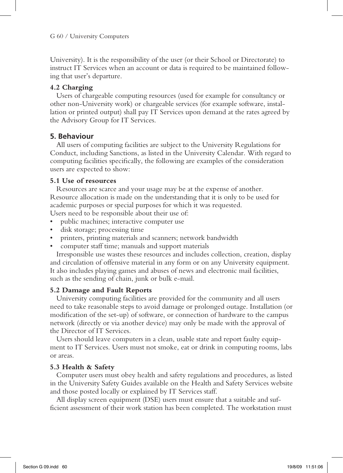University). It is the responsibility of the user (or their School or Directorate) to instruct IT Services when an account or data is required to be maintained following that user's departure.

### **4.2 Charging**

Users of chargeable computing resources (used for example for consultancy or other non-University work) or chargeable services (for example software, installation or printed output) shall pay IT Services upon demand at the rates agreed by the Advisory Group for IT Services.

### **5. Behaviour**

All users of computing facilities are subject to the University Regulations for Conduct, including Sanctions, as listed in the University Calendar. With regard to computing facilities specifically, the following are examples of the consideration users are expected to show:

### **5.1 Use of resources**

Resources are scarce and your usage may be at the expense of another. Resource allocation is made on the understanding that it is only to be used for academic purposes or special purposes for which it was requested. Users need to be responsible about their use of:

- public machines; interactive computer use
- disk storage; processing time
- printers, printing materials and scanners; network bandwidth
- computer staff time; manuals and support materials

Irresponsible use wastes these resources and includes collection, creation, display and circulation of offensive material in any form or on any University equipment. It also includes playing games and abuses of news and electronic mail facilities, such as the sending of chain, junk or bulk e-mail.

### **5.2 Damage and Fault Reports**

University computing facilities are provided for the community and all users need to take reasonable steps to avoid damage or prolonged outage. Installation (or modification of the set-up) of software, or connection of hardware to the campus network (directly or via another device) may only be made with the approval of the Director of IT Services.

Users should leave computers in a clean, usable state and report faulty equipment to IT Services. Users must not smoke, eat or drink in computing rooms, labs or areas.

### **5.3 Health & Safety**

Computer users must obey health and safety regulations and procedures, as listed in the University Safety Guides available on the Health and Safety Services website and those posted locally or explained by IT Services staff.

All display screen equipment (DSE) users must ensure that a suitable and sufficient assessment of their work station has been completed. The workstation must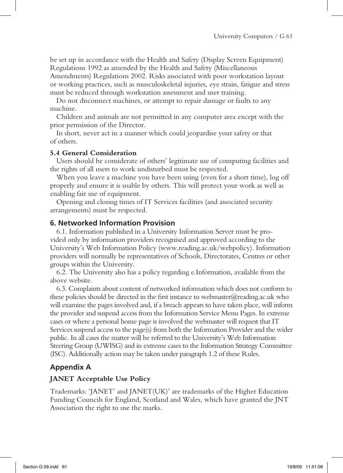be set up in accordance with the Health and Safety (Display Screen Equipment) Regulations 1992 as amended by the Health and Safety (Miscellaneous Amendments) Regulations 2002. Risks associated with poor workstation layout or working practices, such as musculoskeletal injuries, eye strain, fatigue and stress must be reduced through workstation assessment and user training.

Do not disconnect machines, or attempt to repair damage or faults to any machine.

Children and animals are not permitted in any computer area except with the prior permission of the Director.

In short, never act in a manner which could jeopardise your safety or that of others.

#### **5.4 General Consideration**

Users should be considerate of others' legitimate use of computing facilities and the rights of all users to work undisturbed must be respected.

When you leave a machine you have been using (even for a short time), log off properly and ensure it is usable by others. This will protect your work as well as enabling fair use of equipment.

Opening and closing times of IT Services facilities (and associated security arrangements) must be respected.

#### **6. Networked Information Provision**

6.1. Information published in a University Information Server must be provided only by information providers recognised and approved according to the University's Web Information Policy (www.reading.ac.uk/webpolicy). Information providers will normally be representatives of Schools, Directorates, Centres or other groups within the University.

6.2. The University also has a policy regarding e.Information, available from the above website.

6.3. Complaints about content of networked information which does not conform to these policies should be directed in the first instance to webmaster $@$ reading.ac.uk who will examine the pages involved and, if a breach appears to have taken place, will inform the provider and suspend access from the Information Service Menu Pages. In extreme cases or where a personal home page is involved the webmaster will request that IT Services suspend access to the page(s) from both the Information Provider and the wider public. In all cases the matter will be referred to the University's Web Information Steering Group (UWISG) and in extreme cases to the Information Strategy Committee (ISC). Additionally action may be taken under paragraph 1.2 of these Rules.

### **Appendix A**

#### **JANET Acceptable Use Policy**

Trademarks: 'JANET' and JANET(UK)' are trademarks of the Higher Education Funding Councils for England, Scotland and Wales, which have granted the JNT Association the right to use the marks.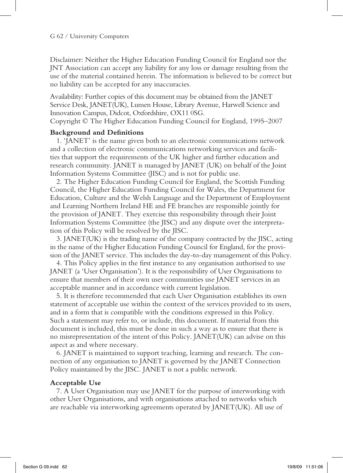Disclaimer: Neither the Higher Education Funding Council for England nor the JNT Association can accept any liability for any loss or damage resulting from the use of the material contained herein. The information is believed to be correct but no liability can be accepted for any inaccuracies.

Availability: Further copies of this document may be obtained from the JANET Service Desk, JANET(UK), Lumen House, Library Avenue, Harwell Science and Innovation Campus, Didcot, Oxfordshire, OX11 0SG.

Copyright © The Higher Education Funding Council for England, 1995–2007

#### **Background and Definitions**

1. 'JANET' is the name given both to an electronic communications network and a collection of electronic communications networking services and facilities that support the requirements of the UK higher and further education and research community. JANET is managed by JANET (UK) on behalf of the Joint Information Systems Committee (JISC) and is not for public use.

2. The Higher Education Funding Council for England, the Scottish Funding Council, the Higher Education Funding Council for Wales, the Department for Education, Culture and the Welsh Language and the Department of Employment and Learning Northern Ireland HE and FE branches are responsible jointly for the provision of JANET. They exercise this responsibility through their Joint Information Systems Committee (the JISC) and any dispute over the interpretation of this Policy will be resolved by the JISC.

3. JANET(UK) is the trading name of the company contracted by the JISC, acting in the name of the Higher Education Funding Council for England, for the provision of the JANET service. This includes the day-to-day management of this Policy.

4. This Policy applies in the first instance to any organisation authorised to use JANET (a 'User Organisation'). It is the responsibility of User Organisations to ensure that members of their own user communities use JANET services in an acceptable manner and in accordance with current legislation.

5. It is therefore recommended that each User Organisation establishes its own statement of acceptable use within the context of the services provided to its users, and in a form that is compatible with the conditions expressed in this Policy. Such a statement may refer to, or include, this document. If material from this document is included, this must be done in such a way as to ensure that there is no misrepresentation of the intent of this Policy. JANET(UK) can advise on this aspect as and where necessary.

6. JANET is maintained to support teaching, learning and research. The connection of any organisation to JANET is governed by the JANET Connection Policy maintained by the JISC. JANET is not a public network.

#### **Acceptable Use**

7. A User Organisation may use JANET for the purpose of interworking with other User Organisations, and with organisations attached to networks which are reachable via interworking agreements operated by JANET(UK). All use of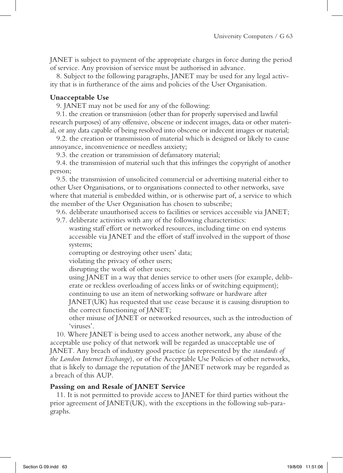JANET is subject to payment of the appropriate charges in force during the period of service. Any provision of service must be authorised in advance.

8. Subject to the following paragraphs, JANET may be used for any legal activity that is in furtherance of the aims and policies of the User Organisation.

#### **Unacceptable Use**

9. JANET may not be used for any of the following:

9.1. the creation or transmission (other than for properly supervised and lawful research purposes) of any offensive, obscene or indecent images, data or other material, or any data capable of being resolved into obscene or indecent images or material;

9.2. the creation or transmission of material which is designed or likely to cause annoyance, inconvenience or needless anxiety;

9.3. the creation or transmission of defamatory material;

9.4. the transmission of material such that this infringes the copyright of another person;

9.5. the transmission of unsolicited commercial or advertising material either to other User Organisations, or to organisations connected to other networks, save where that material is embedded within, or is otherwise part of, a service to which the member of the User Organisation has chosen to subscribe;

9.6. deliberate unauthorised access to facilities or services accessible via JANET;

9.7. deliberate activities with any of the following characteristics:

 wasting staff effort or networked resources, including time on end systems accessible via JANET and the effort of staff involved in the support of those systems;

corrupting or destroying other users' data;

violating the privacy of other users;

disrupting the work of other users;

 using JANET in a way that denies service to other users (for example, deliberate or reckless overloading of access links or of switching equipment); continuing to use an item of networking software or hardware after

JANET(UK) has requested that use cease because it is causing disruption to the correct functioning of JANET;

 other misuse of JANET or networked resources, such as the introduction of 'viruses'.

10. Where JANET is being used to access another network, any abuse of the acceptable use policy of that network will be regarded as unacceptable use of JANET. Any breach of industry good practice (as represented by the *standards of the London Internet Exchange*), or of the Acceptable Use Policies of other networks, that is likely to damage the reputation of the JANET network may be regarded as a breach of this AUP.

### **Passing on and Resale of JANET Service**

11. It is not permitted to provide access to JANET for third parties without the prior agreement of JANET(UK), with the exceptions in the following sub-paragraphs.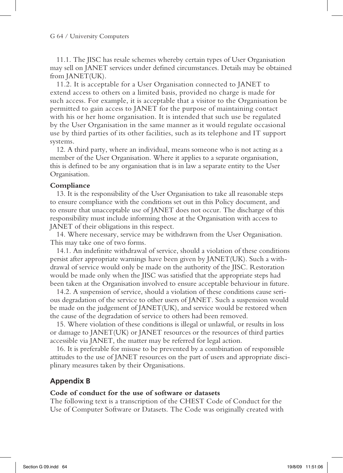11.1. The JISC has resale schemes whereby certain types of User Organisation may sell on JANET services under defined circumstances. Details may be obtained from JANET(UK).

11.2. It is acceptable for a User Organisation connected to JANET to extend access to others on a limited basis, provided no charge is made for such access. For example, it is acceptable that a visitor to the Organisation be permitted to gain access to JANET for the purpose of maintaining contact with his or her home organisation. It is intended that such use be regulated by the User Organisation in the same manner as it would regulate occasional use by third parties of its other facilities, such as its telephone and IT support systems.

12. A third party, where an individual, means someone who is not acting as a member of the User Organisation. Where it applies to a separate organisation, this is defined to be any organisation that is in law a separate entity to the User Organisation.

#### **Compliance**

13. It is the responsibility of the User Organisation to take all reasonable steps to ensure compliance with the conditions set out in this Policy document, and to ensure that unacceptable use of JANET does not occur. The discharge of this responsibility must include informing those at the Organisation with access to JANET of their obligations in this respect.

14. Where necessary, service may be withdrawn from the User Organisation. This may take one of two forms.

14.1. An indefinite withdrawal of service, should a violation of these conditions persist after appropriate warnings have been given by JANET(UK). Such a withdrawal of service would only be made on the authority of the JISC. Restoration would be made only when the JISC was satisfied that the appropriate steps had been taken at the Organisation involved to ensure acceptable behaviour in future.

14.2. A suspension of service, should a violation of these conditions cause serious degradation of the service to other users of JANET. Such a suspension would be made on the judgement of JANET(UK), and service would be restored when the cause of the degradation of service to others had been removed.

15. Where violation of these conditions is illegal or unlawful, or results in loss or damage to JANET(UK) or JANET resources or the resources of third parties accessible via JANET, the matter may be referred for legal action.

16. It is preferable for misuse to be prevented by a combination of responsible attitudes to the use of JANET resources on the part of users and appropriate disciplinary measures taken by their Organisations.

### **Appendix B**

#### **Code of conduct for the use of software or datasets**

The following text is a transcription of the CHEST Code of Conduct for the Use of Computer Software or Datasets. The Code was originally created with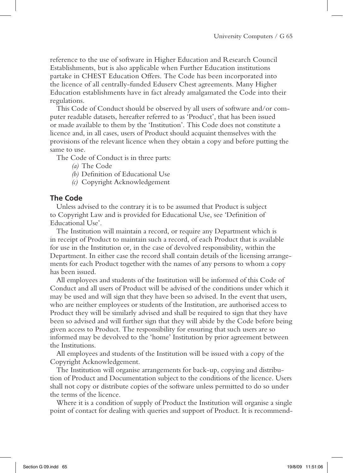reference to the use of software in Higher Education and Research Council Establishments, but is also applicable when Further Education institutions partake in CHEST Education Offers. The Code has been incorporated into the licence of all centrally-funded Eduserv Chest agreements. Many Higher Education establishments have in fact already amalgamated the Code into their regulations.

This Code of Conduct should be observed by all users of software and/or computer readable datasets, hereafter referred to as 'Product', that has been issued or made available to them by the 'Institution'. This Code does not constitute a licence and, in all cases, users of Product should acquaint themselves with the provisions of the relevant licence when they obtain a copy and before putting the same to use.

The Code of Conduct is in three parts:

- *(a)* The Code
- *(b)* Definition of Educational Use
- *(c)* Copyright Acknowledgement

### **The Code**

Unless advised to the contrary it is to be assumed that Product is subject to Copyright Law and is provided for Educational Use, see 'Definition of Educational Use'.

The Institution will maintain a record, or require any Department which is in receipt of Product to maintain such a record, of each Product that is available for use in the Institution or, in the case of devolved responsibility, within the Department. In either case the record shall contain details of the licensing arrangements for each Product together with the names of any persons to whom a copy has been issued.

All employees and students of the Institution will be informed of this Code of Conduct and all users of Product will be advised of the conditions under which it may be used and will sign that they have been so advised. In the event that users, who are neither employees or students of the Institution, are authorised access to Product they will be similarly advised and shall be required to sign that they have been so advised and will further sign that they will abide by the Code before being given access to Product. The responsibility for ensuring that such users are so informed may be devolved to the 'home' Institution by prior agreement between the Institutions.

All employees and students of the Institution will be issued with a copy of the Copyright Acknowledgement.

The Institution will organise arrangements for back-up, copying and distribution of Product and Documentation subject to the conditions of the licence. Users shall not copy or distribute copies of the software unless permitted to do so under the terms of the licence.

Where it is a condition of supply of Product the Institution will organise a single point of contact for dealing with queries and support of Product. It is recommend-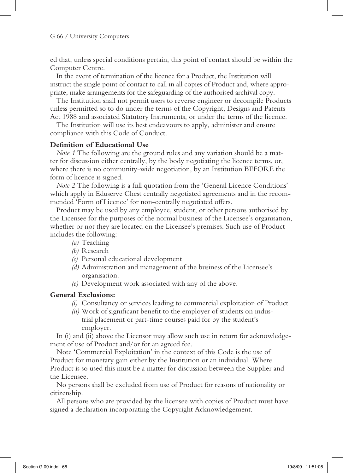#### G 66 / University Computers

ed that, unless special conditions pertain, this point of contact should be within the Computer Centre.

In the event of termination of the licence for a Product, the Institution will instruct the single point of contact to call in all copies of Product and, where appropriate, make arrangements for the safeguarding of the authorised archival copy.

The Institution shall not permit users to reverse engineer or decompile Products unless permitted so to do under the terms of the Copyright, Designs and Patents Act 1988 and associated Statutory Instruments, or under the terms of the licence.

The Institution will use its best endeavours to apply, administer and ensure compliance with this Code of Conduct.

#### **Definition of Educational Use**

*Note 1* The following are the ground rules and any variation should be a matter for discussion either centrally, by the body negotiating the licence terms, or, where there is no community-wide negotiation, by an Institution BEFORE the form of licence is signed.

*Note 2* The following is a full quotation from the 'General Licence Conditions' which apply in Eduserve Chest centrally negotiated agreements and in the recommended 'Form of Licence' for non-centrally negotiated offers.

Product may be used by any employee, student, or other persons authorised by the Licensee for the purposes of the normal business of the Licensee's organisation, whether or not they are located on the Licensee's premises. Such use of Product includes the following:

- *(a)* Teaching
- *(b)* Research
- *(c)* Personal educational development
- *(d)* Administration and management of the business of the Licensee's organisation.
- *(e)* Development work associated with any of the above.

### **General Exclusions:**

- *(i)* Consultancy or services leading to commercial exploitation of Product
- *(ii)* Work of significant benefit to the employer of students on industrial placement or part-time courses paid for by the student's employer.

In (i) and (ii) above the Licensor may allow such use in return for acknowledgement of use of Product and/or for an agreed fee.

Note 'Commercial Exploitation' in the context of this Code is the use of Product for monetary gain either by the Institution or an individual. Where Product is so used this must be a matter for discussion between the Supplier and the Licensee.

No persons shall be excluded from use of Product for reasons of nationality or citizenship.

All persons who are provided by the licensee with copies of Product must have signed a declaration incorporating the Copyright Acknowledgement.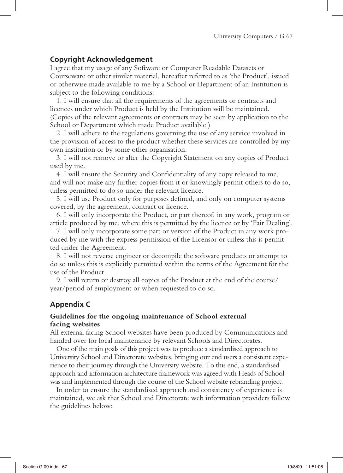### **Copyright Acknowledgement**

I agree that my usage of any Software or Computer Readable Datasets or Courseware or other similar material, hereafter referred to as 'the Product', issued or otherwise made available to me by a School or Department of an Institution is subject to the following conditions:

1. I will ensure that all the requirements of the agreements or contracts and licences under which Product is held by the Institution will be maintained. (Copies of the relevant agreements or contracts may be seen by application to the School or Department which made Product available.)

2. I will adhere to the regulations governing the use of any service involved in the provision of access to the product whether these services are controlled by my own institution or by some other organisation.

3. I will not remove or alter the Copyright Statement on any copies of Product used by me.

4. I will ensure the Security and Confidentiality of any copy released to me, and will not make any further copies from it or knowingly permit others to do so, unless permitted to do so under the relevant licence.

5. I will use Product only for purposes defined, and only on computer systems covered, by the agreement, contract or licence.

6. I will only incorporate the Product, or part thereof, in any work, program or article produced by me, where this is permitted by the licence or by 'Fair Dealing'.

7. I will only incorporate some part or version of the Product in any work produced by me with the express permission of the Licensor or unless this is permitted under the Agreement.

8. I will not reverse engineer or decompile the software products or attempt to do so unless this is explicitly permitted within the terms of the Agreement for the use of the Product.

9. I will return or destroy all copies of the Product at the end of the course/ year/period of employment or when requested to do so.

# **Appendix C**

### **Guidelines for the ongoing maintenance of School external facing websites**

All external facing School websites have been produced by Communications and handed over for local maintenance by relevant Schools and Directorates.

One of the main goals of this project was to produce a standardised approach to University School and Directorate websites, bringing our end users a consistent experience to their journey through the University website. To this end, a standardised approach and information architecture framework was agreed with Heads of School was and implemented through the course of the School website rebranding project.

In order to ensure the standardised approach and consistency of experience is maintained, we ask that School and Directorate web information providers follow the guidelines below: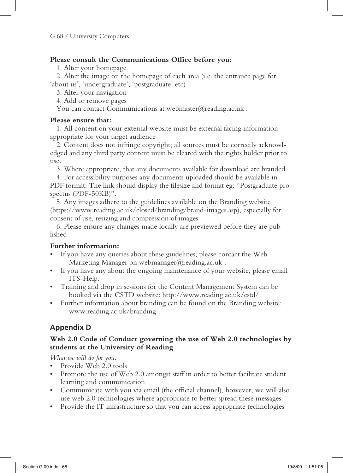### **Please consult the Communications Office before you:**

1. Alter your homepage

2. Alter the image on the homepage of each area (i.e. the entrance page for 'about us', 'undergraduate', 'postgraduate' etc)

3. Alter your navigation

4. Add or remove pages

You can contact Communications at webmaster@reading.ac.uk .

### **Please ensure that:**

1. All content on your external website must be external facing information appropriate for your target audience

2. Content does not infringe copyright; all sources must be correctly acknowledged and any third party content must be cleared with the rights holder prior to use.

3. Where appropriate, that any documents available for download are branded

4. For accessibility purposes any documents uploaded should be available in PDF format. The link should display the filesize and format eg: "Postgraduate prospectus (PDF-50KB)".

5. Any images adhere to the guidelines available on the Branding website (https://www.reading.ac.uk/closed/branding/brand-images.asp), especially for consent of use, resizing and compression of images

6. Please ensure any changes made locally are previewed before they are published

### **Further information:**

- If you have any queries about these guidelines, please contact the Web Marketing Manager on webmanager@reading.ac.uk .
- If you have any about the ongoing maintenance of your website, please email ITS-Help.
- Training and drop in sessions for the Content Management System can be booked via the CSTD website: http://www.reading.ac.uk/cstd/
- Further information about branding can be found on the Branding website: www.reading.ac.uk/branding

# **Appendix D**

### **Web 2.0 Code of Conduct governing the use of Web 2.0 technologies by students at the University of Reading**

*What we will do for you:*

- Provide Web 2.0 tools
- Promote the use of Web 2.0 amongst staff in order to better facilitate student learning and communication
- • Communicate with you via email (the official channel), however, we will also use web 2.0 technologies where appropriate to better spread these messages
- Provide the IT infrastructure so that you can access appropriate technologies